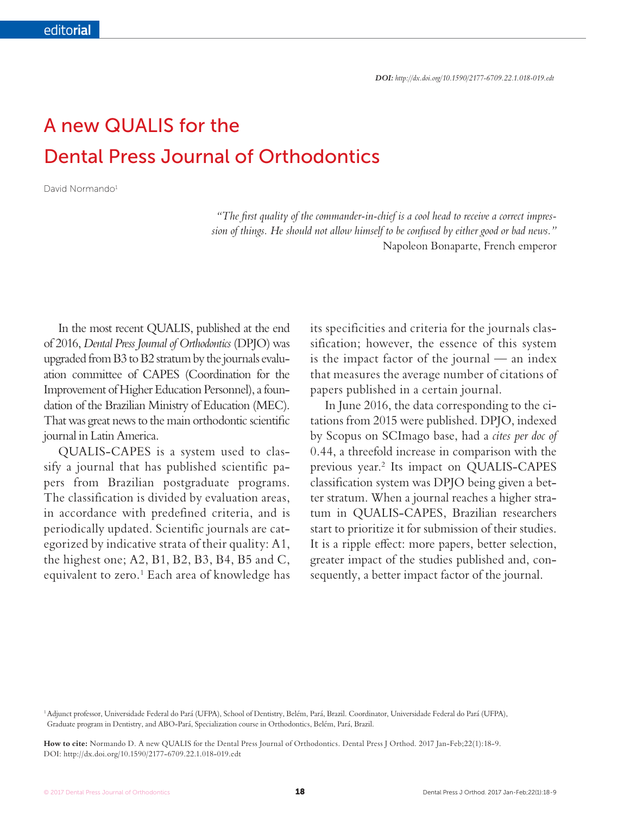## A new QUALIS for the Dental Press Journal of Orthodontics

David Normando<sup>1</sup>

"The first quality of the commander-in-chief is a cool head to receive a correct impres*sion of things. He should not allow himself to be confused by either good or bad news."* Napoleon Bonaparte, French emperor

In the most recent QUALIS, published at the end of 2016, *Dental Press Journal of Orthodontics* (DPJO) was upgraded from B3 to B2 stratum by the journals evaluation committee of CAPES (Coordination for the Improvement of Higher Education Personnel), a foundation of the Brazilian Ministry of Education (MEC). That was great news to the main orthodontic scientific journal in Latin America.

QUALIS-CAPES is a system used to classify a journal that has published scientific papers from Brazilian postgraduate programs. The classification is divided by evaluation areas, in accordance with predefined criteria, and is periodically updated. Scientific journals are categorized by indicative strata of their quality: A1, the highest one; A2, B1, B2, B3, B4, B5 and C, equivalent to zero.<sup>1</sup> Each area of knowledge has its specificities and criteria for the journals classification; however, the essence of this system is the impact factor of the journal — an index that measures the average number of citations of papers published in a certain journal.

In June 2016, the data corresponding to the citations from 2015 were published. DPJO, indexed by Scopus on SCImago base, had a *cites per doc of*  0.44, a threefold increase in comparison with the previous year.<sup>2</sup> Its impact on QUALIS-CAPES classification system was DPJO being given a better stratum. When a journal reaches a higher stratum in QUALIS-CAPES, Brazilian researchers start to prioritize it for submission of their studies. It is a ripple efect: more papers, better selection, greater impact of the studies published and, consequently, a better impact factor of the journal.

**How to cite:** Normando D. A new QUALIS for the Dental Press Journal of Orthodontics. Dental Press J Orthod. 2017 Jan-Feb;22(1):18-9. DOI: http://dx.doi.org/10.1590/2177-6709.22.1.018-019.edt

<sup>1</sup> Adjunct professor, Universidade Federal do Pará (UFPA), School of Dentistry, Belém, Pará, Brazil. Coordinator, Universidade Federal do Pará (UFPA), Graduate program in Dentistry, and ABO-Pará, Specialization course in Orthodontics, Belém, Pará, Brazil.